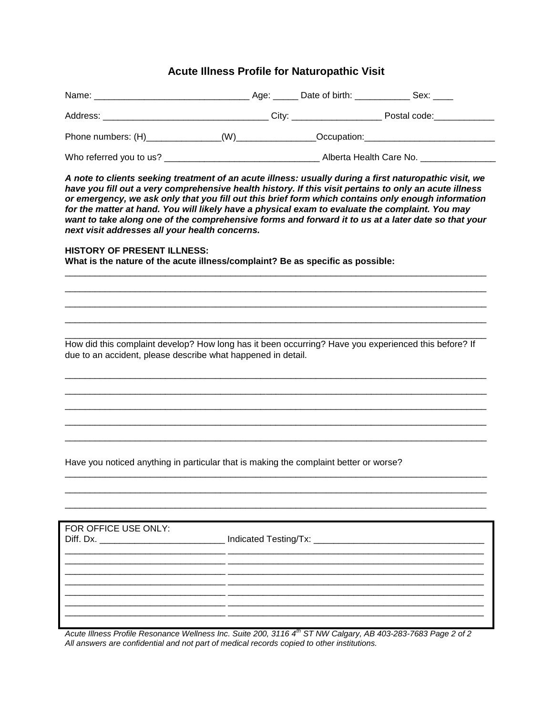## **Acute Illness Profile for Naturopathic Visit**

| Phone numbers: (H)_______________(W)_______________Occupation:___________________                                                                                                                                                                                                                                                                                                                                                                                                                                                                                                  |  |                       |  |
|------------------------------------------------------------------------------------------------------------------------------------------------------------------------------------------------------------------------------------------------------------------------------------------------------------------------------------------------------------------------------------------------------------------------------------------------------------------------------------------------------------------------------------------------------------------------------------|--|-----------------------|--|
|                                                                                                                                                                                                                                                                                                                                                                                                                                                                                                                                                                                    |  |                       |  |
| A note to clients seeking treatment of an acute illness: usually during a first naturopathic visit, we<br>have you fill out a very comprehensive health history. If this visit pertains to only an acute illness<br>or emergency, we ask only that you fill out this brief form which contains only enough information<br>for the matter at hand. You will likely have a physical exam to evaluate the complaint. You may<br>want to take along one of the comprehensive forms and forward it to us at a later date so that your<br>next visit addresses all your health concerns. |  |                       |  |
| <b>HISTORY OF PRESENT ILLNESS:</b><br>What is the nature of the acute illness/complaint? Be as specific as possible:                                                                                                                                                                                                                                                                                                                                                                                                                                                               |  |                       |  |
|                                                                                                                                                                                                                                                                                                                                                                                                                                                                                                                                                                                    |  |                       |  |
|                                                                                                                                                                                                                                                                                                                                                                                                                                                                                                                                                                                    |  |                       |  |
| How did this complaint develop? How long has it been occurring? Have you experienced this before? If                                                                                                                                                                                                                                                                                                                                                                                                                                                                               |  |                       |  |
| due to an accident, please describe what happened in detail.                                                                                                                                                                                                                                                                                                                                                                                                                                                                                                                       |  |                       |  |
|                                                                                                                                                                                                                                                                                                                                                                                                                                                                                                                                                                                    |  |                       |  |
|                                                                                                                                                                                                                                                                                                                                                                                                                                                                                                                                                                                    |  |                       |  |
|                                                                                                                                                                                                                                                                                                                                                                                                                                                                                                                                                                                    |  |                       |  |
| Have you noticed anything in particular that is making the complaint better or worse?                                                                                                                                                                                                                                                                                                                                                                                                                                                                                              |  |                       |  |
|                                                                                                                                                                                                                                                                                                                                                                                                                                                                                                                                                                                    |  |                       |  |
|                                                                                                                                                                                                                                                                                                                                                                                                                                                                                                                                                                                    |  |                       |  |
| FOR OFFICE USE ONLY:                                                                                                                                                                                                                                                                                                                                                                                                                                                                                                                                                               |  |                       |  |
| Diff. Dx.                                                                                                                                                                                                                                                                                                                                                                                                                                                                                                                                                                          |  | Indicated Testing/Tx: |  |
|                                                                                                                                                                                                                                                                                                                                                                                                                                                                                                                                                                                    |  |                       |  |
|                                                                                                                                                                                                                                                                                                                                                                                                                                                                                                                                                                                    |  |                       |  |
|                                                                                                                                                                                                                                                                                                                                                                                                                                                                                                                                                                                    |  |                       |  |
|                                                                                                                                                                                                                                                                                                                                                                                                                                                                                                                                                                                    |  |                       |  |

*Acute Illness Profile Resonance Wellness Inc. Suite 200, 3116 4th ST NW Calgary, AB 403-283-7683 Page 2 of 2 All answers are confidential and not part of medical records copied to other institutions.*